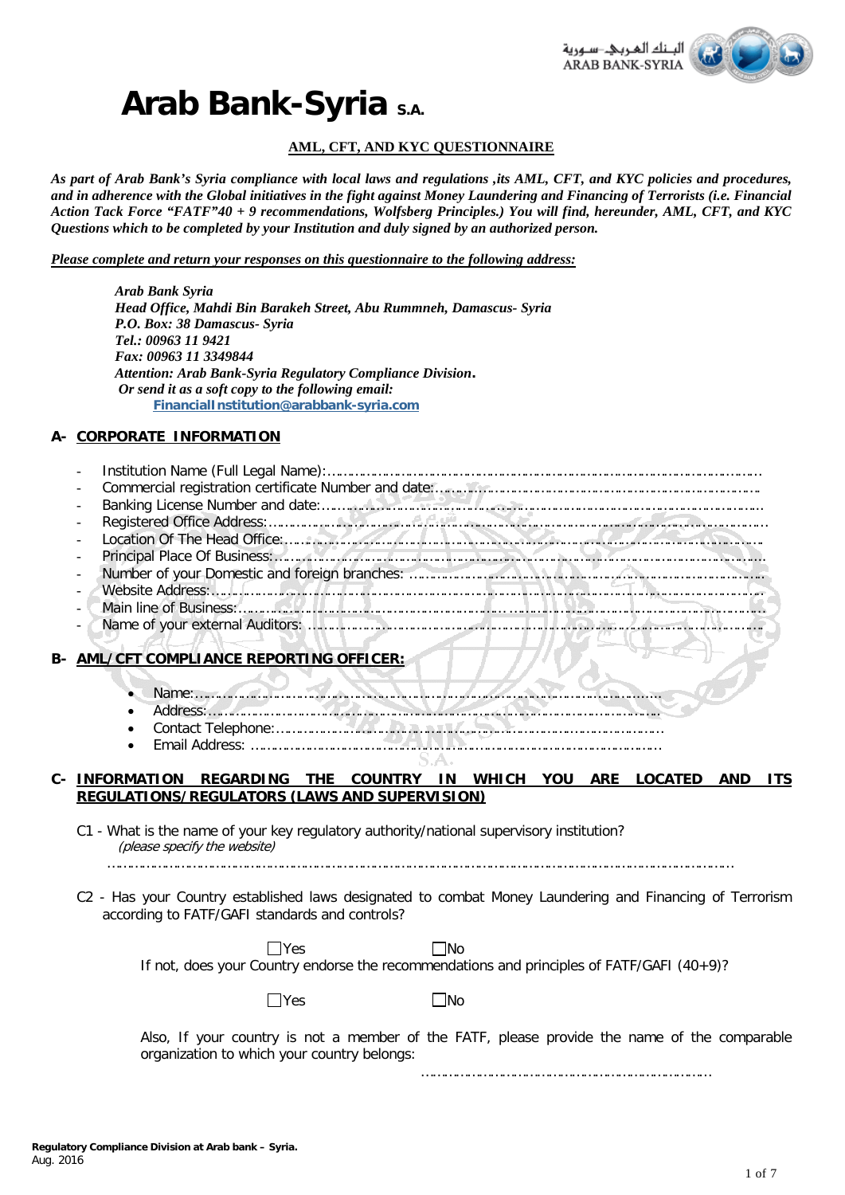

# **Arab Bank-Syria S.A.**

### **AML, CFT, AND KYC QUESTIONNAIRE**

*As part of Arab Bank's Syria compliance with local laws and regulations ,its AML, CFT, and KYC policies and procedures, and in adherence with the Global initiatives in the fight against Money Laundering and Financing of Terrorists (i.e. Financial Action Tack Force "FATF"40 + 9 recommendations, Wolfsberg Principles.) You will find, hereunder, AML, CFT, and KYC Questions which to be completed by your Institution and duly signed by an authorized person.*

*Please complete and return your responses on this questionnaire to the following address:* 

|      | <b>Arab Bank Syria</b><br>Head Office, Mahdi Bin Barakeh Street, Abu Rummneh, Damascus- Syria<br>P.O. Box: 38 Damascus- Syria<br>Tel.: 00963 11 9421<br>Fax: 00963 11 3349844                                                 |
|------|-------------------------------------------------------------------------------------------------------------------------------------------------------------------------------------------------------------------------------|
|      | Attention: Arab Bank-Syria Regulatory Compliance Division.                                                                                                                                                                    |
|      | Or send it as a soft copy to the following email:                                                                                                                                                                             |
|      | FinancialInstitution@arabbank-syria.com                                                                                                                                                                                       |
|      | A- CORPORATE INFORMATION                                                                                                                                                                                                      |
|      |                                                                                                                                                                                                                               |
|      |                                                                                                                                                                                                                               |
|      |                                                                                                                                                                                                                               |
|      | Banking License Number and date:<br>Registered Office Address:<br>Location Of The Head Office:<br>Principal Place Of Business:<br>Number of your Domestic and foreign branches:<br>Website Address:<br>Main line of Business: |
|      |                                                                                                                                                                                                                               |
|      |                                                                                                                                                                                                                               |
|      |                                                                                                                                                                                                                               |
|      |                                                                                                                                                                                                                               |
|      |                                                                                                                                                                                                                               |
|      |                                                                                                                                                                                                                               |
|      |                                                                                                                                                                                                                               |
|      |                                                                                                                                                                                                                               |
| B- \ | <b>AML/CFT COMPLIANCE REPORTING OFFICER:</b>                                                                                                                                                                                  |
|      | Name: material and decomposition of the component of the community.                                                                                                                                                           |
|      | Address: Communication of the communication of the communication of the communication of the communication of                                                                                                                 |
|      | - 17 187                                                                                                                                                                                                                      |

- Contact Telephone:………………………………………………………………….……………………
- Email Address: ………………………………………………….…………………………………………

# **C-** *<sup>U</sup>***INFORMATION REGARDING THE COUNTRY IN WHICH YOU ARE LOCATED AND ITS REGULATIONS/REGULATORS (LAWS AND SUPERVISION)**

C1 - What is the name of your key regulatory authority/national supervisory institution? (please specify the website)

- ………………………………………………………………………………………………………………………………………………
- C2 Has your Country established laws designated to combat Money Laundering and Financing of Terrorism according to FATF/GAFI standards and controls?

| <b>Nes</b>                                                                                   | ∃No |  |
|----------------------------------------------------------------------------------------------|-----|--|
| If not, does your Country endorse the recommendations and principles of FATF/GAFI $(40+9)$ ? |     |  |

 $\Box$ Yes  $\Box$ No

Also, If your country is not a member of the FATF, please provide the name of the comparable organization to which your country belongs:

…………………………………………………………………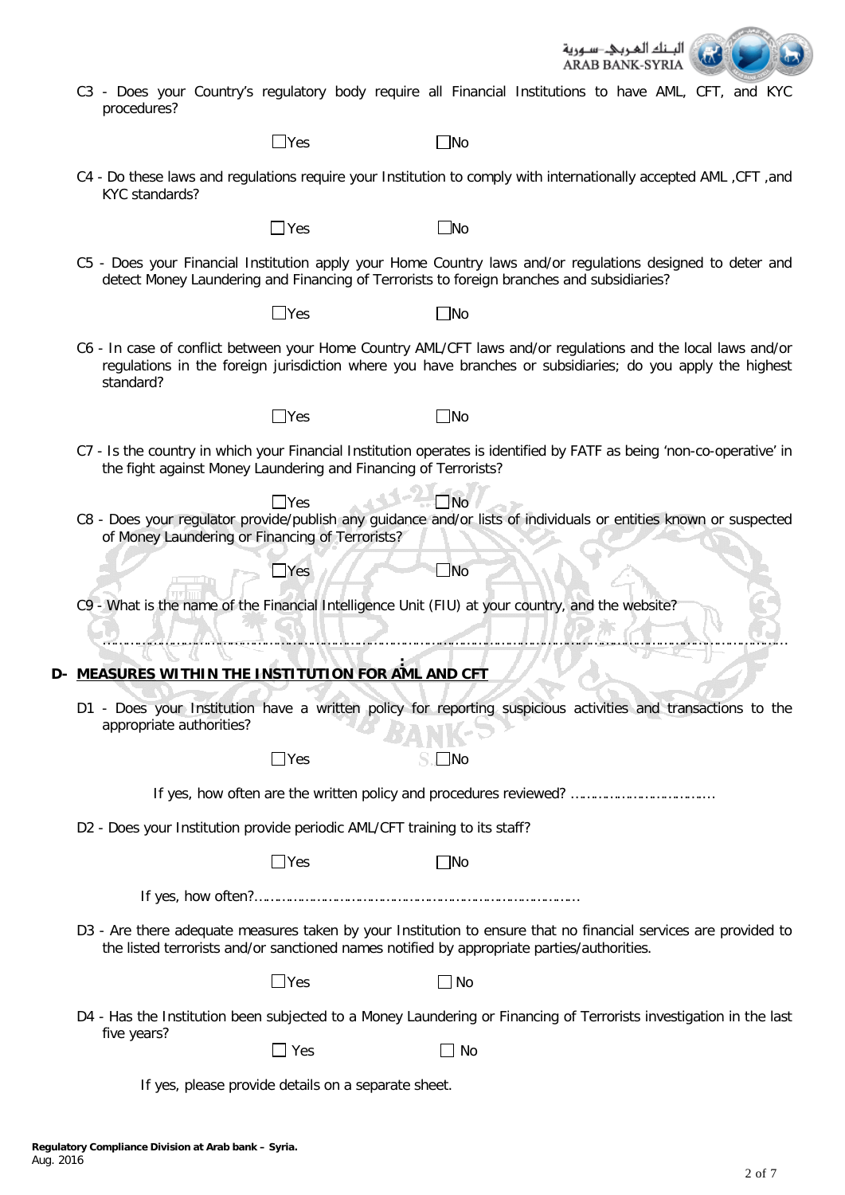

C3 - Does your Country's regulatory body require all Financial Institutions to have AML, CFT, and KYC procedures?

| $\Box$ Yes | $\square$ No |
|------------|--------------|
|------------|--------------|

C4 - Do these laws and regulations require your Institution to comply with internationally accepted AML ,CFT ,and KYC standards?

 $\neg$  Yes  $\neg$  No

C5 - Does your Financial Institution apply your Home Country laws and/or regulations designed to deter and detect Money Laundering and Financing of Terrorists to foreign branches and subsidiaries?

 $\Box$ Yes  $\Box$ No

- 
- C6 In case of conflict between your Home Country AML/CFT laws and/or regulations and the local laws and/or regulations in the foreign jurisdiction where you have branches or subsidiaries; do you apply the highest standard?

 $\Box$ Yes  $\Box$ No

- C7 Is the country in which your Financial Institution operates is identified by FATF as being 'non-co-operative' in the fight against Money Laundering and Financing of Terrorists?
- $\Box$ Yes  $\Box$ Yes  $\Box$ Yes  $\Box$ C8 - Does your regulator provide/publish any guidance and/or lists of individuals or entities known or suspected of Money Laundering or Financing of Terrorists?
- C9 What is the name of the Financial Intelligence Unit (FIU) at your country, and the website?

 $\Box$ Yes  $\Box$ 

**: D- MEASURES WITHIN THE INSTITUTION FOR AML AND CFT**

-CS

D1 - Does your Institution have a written policy for reporting suspicious activities and transactions to the appropriate authorities?

……………………………………………………………………………………………………………………………………………………………

| 」Yes | $\Box$ No $\Box$ |
|------|------------------|
|      |                  |
|      |                  |
|      |                  |

If yes, how often are the written policy and procedures reviewed? …………………………….…

D2 - Does your Institution provide periodic AML/CFT training to its staff?

 $\Box$ Yes  $\Box$ No

If yes, how often?…………………………………………………………………………

D3 - Are there adequate measures taken by your Institution to ensure that no financial services are provided to the listed terrorists and/or sanctioned names notified by appropriate parties/authorities.

| $\Box$ No<br>$\Box$ Yes |  |  |  |  |  |  |  |
|-------------------------|--|--|--|--|--|--|--|
|-------------------------|--|--|--|--|--|--|--|

D4 - Has the Institution been subjected to a Money Laundering or Financing of Terrorists investigation in the last five years?

| $\Box$ Yes |  | $\Box$ No |
|------------|--|-----------|
|------------|--|-----------|

If yes, please provide details on a separate sheet.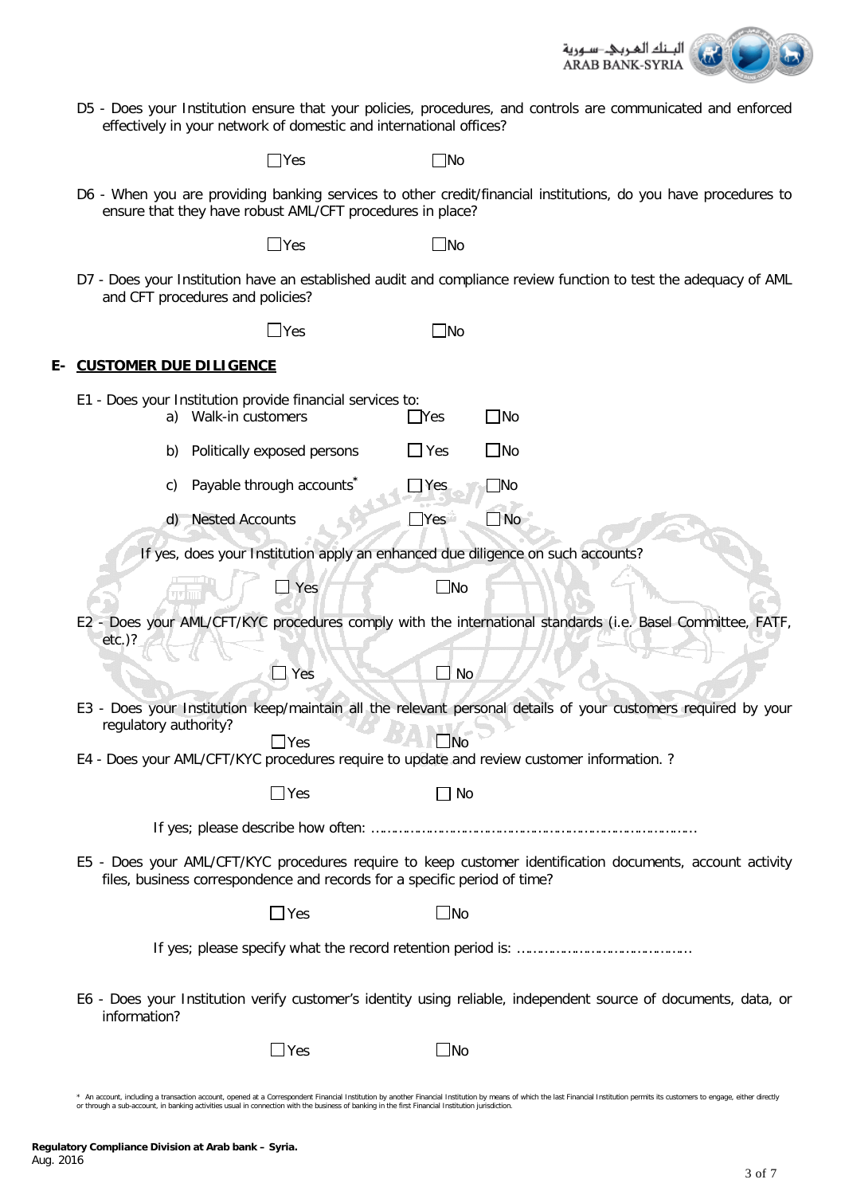

D5 - Does your Institution ensure that your policies, procedures, and controls are communicated and enforced effectively in your network of domestic and international offices?

 $\square$ No

D6 - When you are providing banking services to other credit/financial institutions, do you have procedures to ensure that they have robust AML/CFT procedures in place?

 $\Box$ Yes  $\Box$ No

D7 - Does your Institution have an established audit and compliance review function to test the adequacy of AML and CFT procedures and policies?

 $\Box$ Yes  $\Box$ 

# **E- CUSTOMER DUE DILIGENCE**

| E1 - Does your Institution provide financial services to:<br>Walk-in customers<br>a)       |            | $\neg$ Yes     | $\Box$ No                                                                                                       |
|--------------------------------------------------------------------------------------------|------------|----------------|-----------------------------------------------------------------------------------------------------------------|
| Politically exposed persons<br>b)                                                          |            | $\Box$ Yes     | $\Box$ No                                                                                                       |
| Payable through accounts<br>C)                                                             |            | $\exists$ Yes  | $\overline{\text{No}}$                                                                                          |
| <b>Nested Accounts</b><br>(d)                                                              |            | Yes            | $\Box$ No                                                                                                       |
|                                                                                            |            |                | If yes, does your Institution apply an enhanced due diligence on such accounts?                                 |
|                                                                                            | $\Box$ Yes | $\Box$ No      |                                                                                                                 |
| $etc.$ )?                                                                                  |            |                | E2 - Does your AML/CFT/KYC procedures comply with the international standards (i.e. Basel Committee, FATF       |
|                                                                                            | $\Box$ Yes | ]∣ No          |                                                                                                                 |
| regulatory authority?                                                                      |            |                | E3 - Does your Institution keep/maintain all the relevant personal details of your customers required by your   |
| E4 - Does your AML/CFT/KYC procedures require to update and review customer information. ? | Yes        | No             |                                                                                                                 |
|                                                                                            | $\Box$ Yes | No             |                                                                                                                 |
|                                                                                            |            |                |                                                                                                                 |
| files, business correspondence and records for a specific period of time?                  |            |                | E5 - Does your AML/CFT/KYC procedures require to keep customer identification documents, account activity       |
|                                                                                            | $\Box$ Yes | $\mathsf{JNo}$ |                                                                                                                 |
|                                                                                            |            |                |                                                                                                                 |
| information?                                                                               |            |                | E6 - Does your Institution verify customer's identity using reliable, independent source of documents, data, or |

 $\Box$  Yes  $\Box$  No

<sup>\*</sup> An account, including a transaction account, opened at a Correspondent Financial Institution by another Financial Institution by means of which the last Financial Institution permits its customers to engage, either direc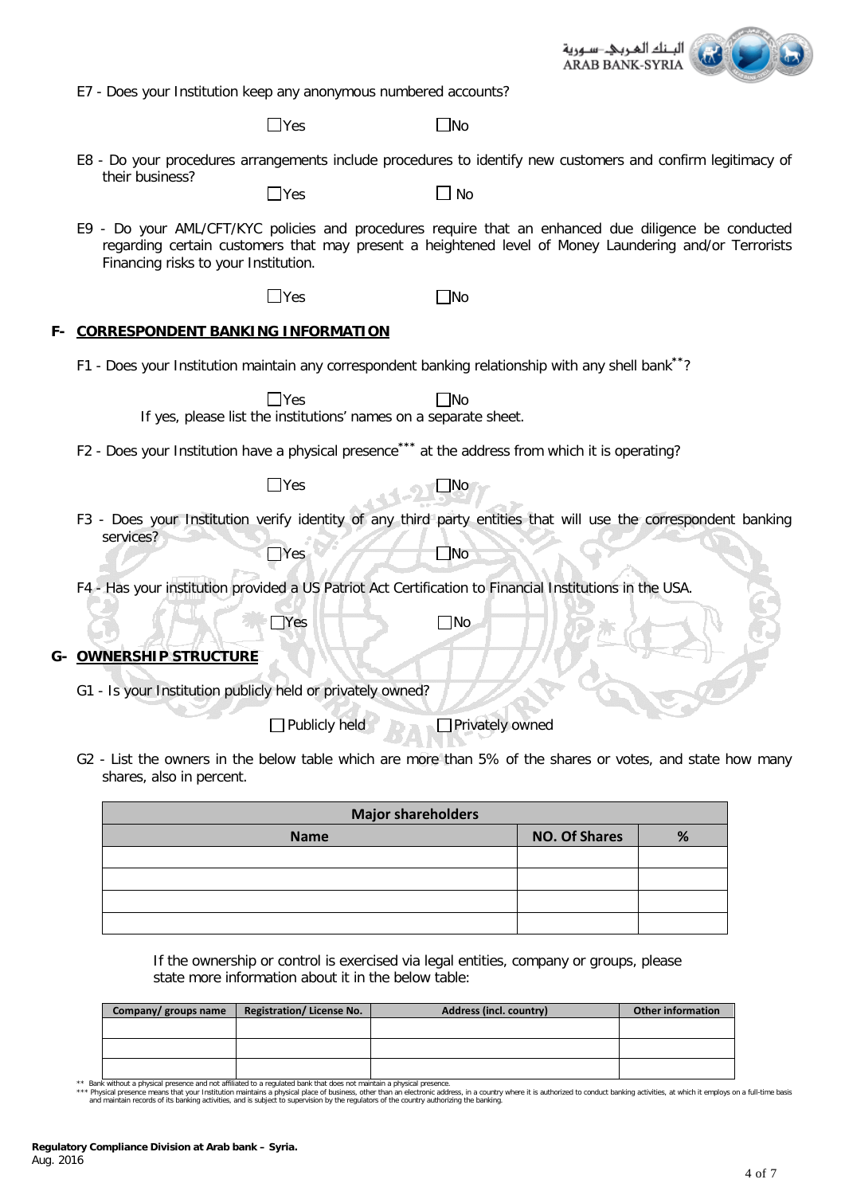

E7 - Does your Institution keep any anonymous numbered accounts?

 $\Box$ Yes  $\Box$ No

E8 - Do your procedures arrangements include procedures to identify new customers and confirm legitimacy of their business?

 $\Box$ Yes  $\Box$  No

E9 - Do your AML/CFT/KYC policies and procedures require that an enhanced due diligence be conducted regarding certain customers that may present a heightened level of Money Laundering and/or Terrorists Financing risks to your Institution.

 $\Box$ Yes  $\Box$ No

### **F- CORRESPONDENT BANKING INFORMATION**

F1 - Does your Institution maintain any correspondent banking relationship with any shell bank**\*\***?

| Yes<br><b>INo</b>                                                                                                            |
|------------------------------------------------------------------------------------------------------------------------------|
| If yes, please list the institutions' names on a separate sheet.                                                             |
| F2 - Does your Institution have a physical presence <sup>***</sup> at the address from which it is operating?                |
| $\sqcup$ Yes<br>$\Box$ No                                                                                                    |
| Does your Institution verify identity of any third party entities that will use the correspondent banking<br>F3<br>services? |
| $\Box$ Yes<br>_No                                                                                                            |
| F4 - Has your institution provided a US Patriot Act Certification to Financial Institutions in the USA.                      |
| ∃No<br>Yes                                                                                                                   |
| G-\OWNERSHIP STRUCTURE                                                                                                       |
| G1\ls your Institution publicly held or privately owned?                                                                     |
| Publicly held<br>Privately owned                                                                                             |

G2 - List the owners in the below table which are more than 5% of the shares or votes, and state how many shares, also in percent.

| <b>Major shareholders</b> |                      |   |  |  |
|---------------------------|----------------------|---|--|--|
| <b>Name</b>               | <b>NO. Of Shares</b> | % |  |  |
|                           |                      |   |  |  |
|                           |                      |   |  |  |
|                           |                      |   |  |  |
|                           |                      |   |  |  |

If the ownership or control is exercised via legal entities, company or groups, please state more information about it in the below table:

| Company/ groups name | <b>Registration/ License No.</b> | Address (incl. country) | <b>Other information</b> |
|----------------------|----------------------------------|-------------------------|--------------------------|
|                      |                                  |                         |                          |
|                      |                                  |                         |                          |
|                      |                                  |                         |                          |
|                      |                                  |                         |                          |

\*\* Bank without a physical presence and not affiliated to a regulated bank that does not maintain a physical presence.<br>\*\*\* Physical presence means that your Institution maintains a physical place of business, diner than an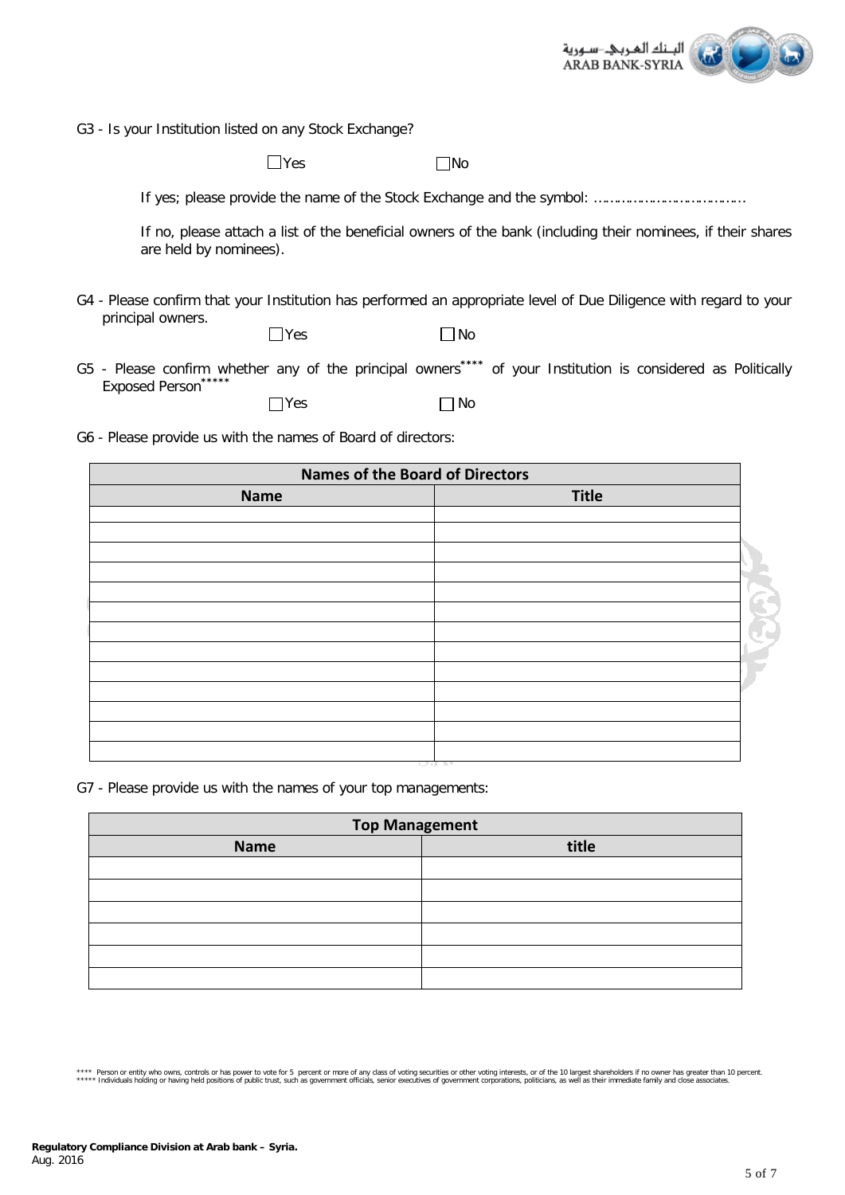

G3 - Is your Institution listed on any Stock Exchange?

 $\Box$ Yes  $\Box$ No

If yes; please provide the name of the Stock Exchange and the symbol: …………………………………

If no, please attach a list of the beneficial owners of the bank (including their nominees, if their shares are held by nominees).

G4 - Please confirm that your Institution has performed an appropriate level of Due Diligence with regard to your principal owners.

| ۰.<br>M. |  |
|----------|--|
|          |  |

| $\Box$ Yes | $\Box$ No |
|------------|-----------|
|------------|-----------|

G5 - Please confirm whether any of the principal owners**\*\*\*\*** of your Institution is considered as Politically Exposed Person**\*\*\*\*\***  $\Box$  Yes  $\Box$  No

G6 - Please provide us with the names of Board of directors:

|             | <b>Names of the Board of Directors</b> |  |
|-------------|----------------------------------------|--|
| <b>Name</b> | <b>Title</b>                           |  |
|             |                                        |  |
|             |                                        |  |
|             |                                        |  |
|             |                                        |  |
|             |                                        |  |
|             |                                        |  |
|             |                                        |  |
|             |                                        |  |
|             |                                        |  |
|             |                                        |  |
|             |                                        |  |
|             |                                        |  |
|             |                                        |  |

G7 - Please provide us with the names of your top managements:

| <b>Top Management</b> |       |  |
|-----------------------|-------|--|
| <b>Name</b>           | title |  |
|                       |       |  |
|                       |       |  |
|                       |       |  |
|                       |       |  |
|                       |       |  |
|                       |       |  |

<sup>\*\*\*</sup> Person or entity who owns, controls or has power to vote for 5 percent or more of any class of voting securities or other voting interests, or of the 10 largest shareholders if no owner has greater than 10 percent.<br>\*\*\*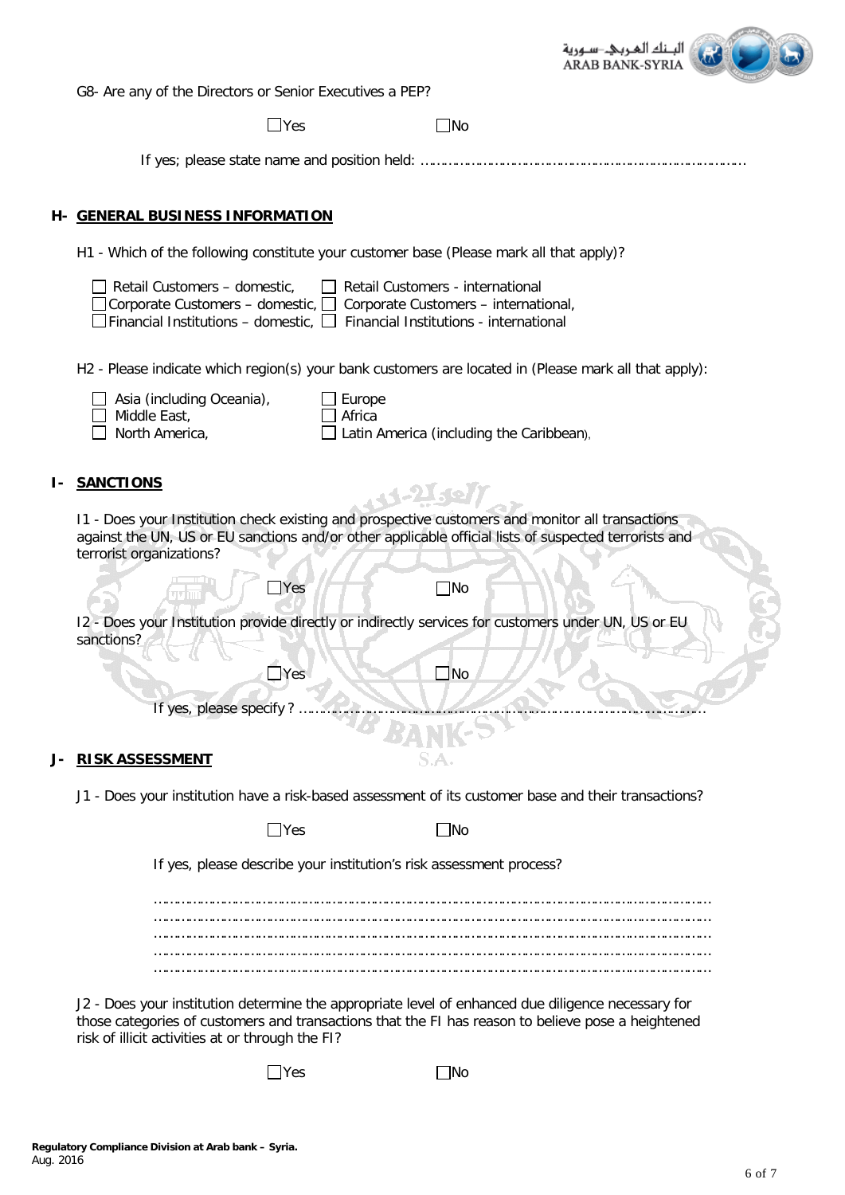

G8- Are any of the Directors or Senior Executives a PEP?

 $\Box$ Yes  $\Box$ No

If yes; please state name and position held: …………………………………………………………………………

#### **H- GENERAL BUSINESS INFORMATION**

H1 - Which of the following constitute your customer base (Please mark all that apply)?

|    | Retail Customers - domestic,<br>Retail Customers - international<br>Corporate Customers – domestic, □ Corporate Customers – international,<br>Financial Institutions – domestic, $\square$<br>Financial Institutions - international  |
|----|---------------------------------------------------------------------------------------------------------------------------------------------------------------------------------------------------------------------------------------|
|    | H2 - Please indicate which region(s) your bank customers are located in (Please mark all that apply):<br>Asia (including Oceania),<br>Europe<br>Middle East,<br>Africa<br>North America,<br>Latin America (including the Caribbean),  |
| ı- | <b>SANCTIONS</b><br>. 4.21.60                                                                                                                                                                                                         |
|    | 11 - Does your Institution check existing and prospective customers and monitor all transactions<br>against the UN, US or EU sanctions and/or other applicable official lists of suspected terrorists and<br>terrorist organizations? |
|    | $\mathsf{Yes}$<br>$\Box$ No                                                                                                                                                                                                           |
|    | 12 - Does your Institution provide directly or indirectly services for customers under UN, US or EU<br>sanctions?                                                                                                                     |
|    | $\Box$ Yes<br>$\Box$ No                                                                                                                                                                                                               |
|    | If yes, please specify?                                                                                                                                                                                                               |
|    | <b>RISK ASSESSMENT</b>                                                                                                                                                                                                                |
|    | J1 - Does your institution have a risk-based assessment of its customer base and their transactions?                                                                                                                                  |
|    | $\Box$ Yes<br>$\Box$ No                                                                                                                                                                                                               |
|    | If yes, please describe your institution's risk assessment process?                                                                                                                                                                   |
|    |                                                                                                                                                                                                                                       |
|    |                                                                                                                                                                                                                                       |
|    |                                                                                                                                                                                                                                       |

J2 - Does your institution determine the appropriate level of enhanced due diligence necessary for those categories of customers and transactions that the FI has reason to believe pose a heightened risk of illicit activities at or through the FI?

 $\Box$ Yes  $\Box$ No